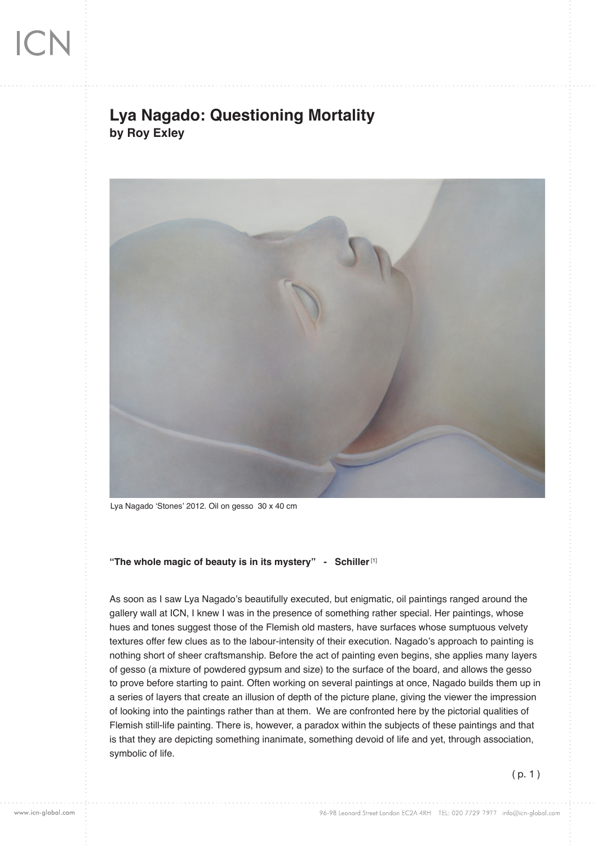## **Lya Nagado: Questioning Mortality by Roy Exley**



Lya Nagado 'Stones' 2012. Oil on gesso 30 x 40 cm

**"The whole magic of beauty is in its mystery" - Schiller** [1]

As soon as I saw Lya Nagado's beautifully executed, but enigmatic, oil paintings ranged around the gallery wall at ICN, I knew I was in the presence of something rather special. Her paintings, whose hues and tones suggest those of the Flemish old masters, have surfaces whose sumptuous velvety textures offer few clues as to the labour-intensity of their execution. Nagado's approach to painting is nothing short of sheer craftsmanship. Before the act of painting even begins, she applies many layers of gesso (a mixture of powdered gypsum and size) to the surface of the board, and allows the gesso to prove before starting to paint. Often working on several paintings at once, Nagado builds them up in a series of layers that create an illusion of depth of the picture plane, giving the viewer the impression of looking into the paintings rather than at them. We are confronted here by the pictorial qualities of Flemish still-life painting. There is, however, a paradox within the subjects of these paintings and that is that they are depicting something inanimate, something devoid of life and yet, through association, symbolic of life.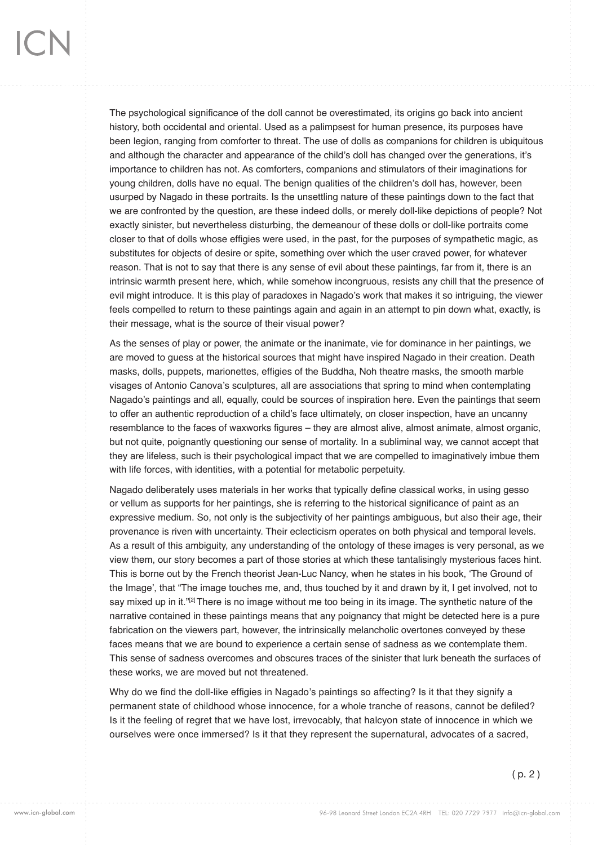The psychological significance of the doll cannot be overestimated, its origins go back into ancient history, both occidental and oriental. Used as a palimpsest for human presence, its purposes have been legion, ranging from comforter to threat. The use of dolls as companions for children is ubiquitous and although the character and appearance of the child's doll has changed over the generations, it's importance to children has not. As comforters, companions and stimulators of their imaginations for young children, dolls have no equal. The benign qualities of the children's doll has, however, been usurped by Nagado in these portraits. Is the unsettling nature of these paintings down to the fact that we are confronted by the question, are these indeed dolls, or merely doll-like depictions of people? Not exactly sinister, but nevertheless disturbing, the demeanour of these dolls or doll-like portraits come closer to that of dolls whose effigies were used, in the past, for the purposes of sympathetic magic, as substitutes for objects of desire or spite, something over which the user craved power, for whatever reason. That is not to say that there is any sense of evil about these paintings, far from it, there is an intrinsic warmth present here, which, while somehow incongruous, resists any chill that the presence of evil might introduce. It is this play of paradoxes in Nagado's work that makes it so intriguing, the viewer feels compelled to return to these paintings again and again in an attempt to pin down what, exactly, is their message, what is the source of their visual power?

As the senses of play or power, the animate or the inanimate, vie for dominance in her paintings, we are moved to guess at the historical sources that might have inspired Nagado in their creation. Death masks, dolls, puppets, marionettes, effigies of the Buddha, Noh theatre masks, the smooth marble visages of Antonio Canova's sculptures, all are associations that spring to mind when contemplating Nagado's paintings and all, equally, could be sources of inspiration here. Even the paintings that seem to offer an authentic reproduction of a child's face ultimately, on closer inspection, have an uncanny resemblance to the faces of waxworks figures – they are almost alive, almost animate, almost organic, but not quite, poignantly questioning our sense of mortality. In a subliminal way, we cannot accept that they are lifeless, such is their psychological impact that we are compelled to imaginatively imbue them with life forces, with identities, with a potential for metabolic perpetuity.

Nagado deliberately uses materials in her works that typically define classical works, in using gesso or vellum as supports for her paintings, she is referring to the historical significance of paint as an expressive medium. So, not only is the subjectivity of her paintings ambiguous, but also their age, their provenance is riven with uncertainty. Their eclecticism operates on both physical and temporal levels. As a result of this ambiguity, any understanding of the ontology of these images is very personal, as we view them, our story becomes a part of those stories at which these tantalisingly mysterious faces hint. This is borne out by the French theorist Jean-Luc Nancy, when he states in his book, 'The Ground of the Image', that "The image touches me, and, thus touched by it and drawn by it, I get involved, not to say mixed up in it."<sup>[2]</sup> There is no image without me too being in its image. The synthetic nature of the narrative contained in these paintings means that any poignancy that might be detected here is a pure fabrication on the viewers part, however, the intrinsically melancholic overtones conveyed by these faces means that we are bound to experience a certain sense of sadness as we contemplate them. This sense of sadness overcomes and obscures traces of the sinister that lurk beneath the surfaces of these works, we are moved but not threatened.

Why do we find the doll-like effigies in Nagado's paintings so affecting? Is it that they signify a permanent state of childhood whose innocence, for a whole tranche of reasons, cannot be defiled? Is it the feeling of regret that we have lost, irrevocably, that halcyon state of innocence in which we ourselves were once immersed? Is it that they represent the supernatural, advocates of a sacred,

( p. 2 )